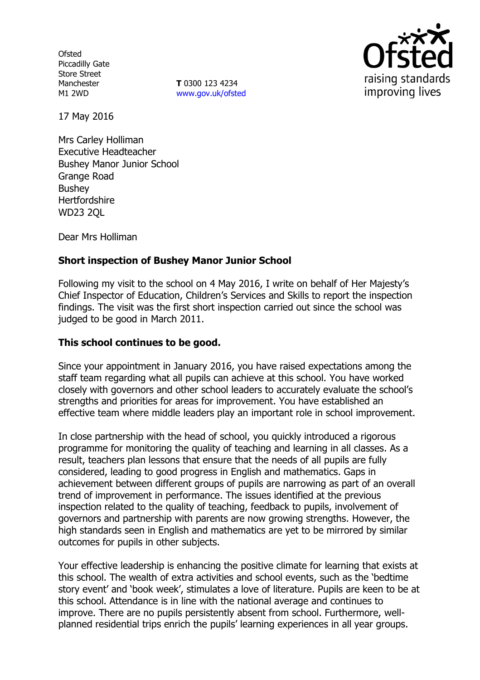**Ofsted** Piccadilly Gate Store Street Manchester M1 2WD

**T** 0300 123 4234 www.gov.uk/ofsted



17 May 2016

Mrs Carley Holliman Executive Headteacher Bushey Manor Junior School Grange Road Bushey **Hertfordshire** WD23 2QL

Dear Mrs Holliman

### **Short inspection of Bushey Manor Junior School**

Following my visit to the school on 4 May 2016, I write on behalf of Her Majesty's Chief Inspector of Education, Children's Services and Skills to report the inspection findings. The visit was the first short inspection carried out since the school was judged to be good in March 2011.

#### **This school continues to be good.**

Since your appointment in January 2016, you have raised expectations among the staff team regarding what all pupils can achieve at this school. You have worked closely with governors and other school leaders to accurately evaluate the school's strengths and priorities for areas for improvement. You have established an effective team where middle leaders play an important role in school improvement.

In close partnership with the head of school, you quickly introduced a rigorous programme for monitoring the quality of teaching and learning in all classes. As a result, teachers plan lessons that ensure that the needs of all pupils are fully considered, leading to good progress in English and mathematics. Gaps in achievement between different groups of pupils are narrowing as part of an overall trend of improvement in performance. The issues identified at the previous inspection related to the quality of teaching, feedback to pupils, involvement of governors and partnership with parents are now growing strengths. However, the high standards seen in English and mathematics are yet to be mirrored by similar outcomes for pupils in other subjects.

Your effective leadership is enhancing the positive climate for learning that exists at this school. The wealth of extra activities and school events, such as the 'bedtime story event' and 'book week', stimulates a love of literature. Pupils are keen to be at this school. Attendance is in line with the national average and continues to improve. There are no pupils persistently absent from school. Furthermore, wellplanned residential trips enrich the pupils' learning experiences in all year groups.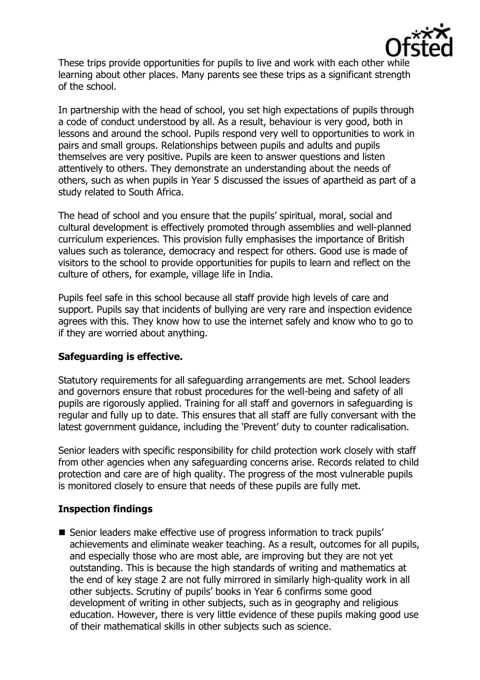

These trips provide opportunities for pupils to live and work with each other while learning about other places. Many parents see these trips as a significant strength of the school.

In partnership with the head of school, you set high expectations of pupils through a code of conduct understood by all. As a result, behaviour is very good, both in lessons and around the school. Pupils respond very well to opportunities to work in pairs and small groups. Relationships between pupils and adults and pupils themselves are very positive. Pupils are keen to answer questions and listen attentively to others. They demonstrate an understanding about the needs of others, such as when pupils in Year 5 discussed the issues of apartheid as part of a study related to South Africa.

The head of school and you ensure that the pupils' spiritual, moral, social and cultural development is effectively promoted through assemblies and well-planned curriculum experiences. This provision fully emphasises the importance of British values such as tolerance, democracy and respect for others. Good use is made of visitors to the school to provide opportunities for pupils to learn and reflect on the culture of others, for example, village life in India.

Pupils feel safe in this school because all staff provide high levels of care and support. Pupils say that incidents of bullying are very rare and inspection evidence agrees with this. They know how to use the internet safely and know who to go to if they are worried about anything.

#### **Safeguarding is effective.**

Statutory requirements for all safeguarding arrangements are met. School leaders and governors ensure that robust procedures for the well-being and safety of all pupils are rigorously applied. Training for all staff and governors in safeguarding is regular and fully up to date. This ensures that all staff are fully conversant with the latest government guidance, including the 'Prevent' duty to counter radicalisation.

Senior leaders with specific responsibility for child protection work closely with staff from other agencies when any safeguarding concerns arise. Records related to child protection and care are of high quality. The progress of the most vulnerable pupils is monitored closely to ensure that needs of these pupils are fully met.

# **Inspection findings**

■ Senior leaders make effective use of progress information to track pupils' achievements and eliminate weaker teaching. As a result, outcomes for all pupils, and especially those who are most able, are improving but they are not yet outstanding. This is because the high standards of writing and mathematics at the end of key stage 2 are not fully mirrored in similarly high-quality work in all other subjects. Scrutiny of pupils' books in Year 6 confirms some good development of writing in other subjects, such as in geography and religious education. However, there is very little evidence of these pupils making good use of their mathematical skills in other subjects such as science.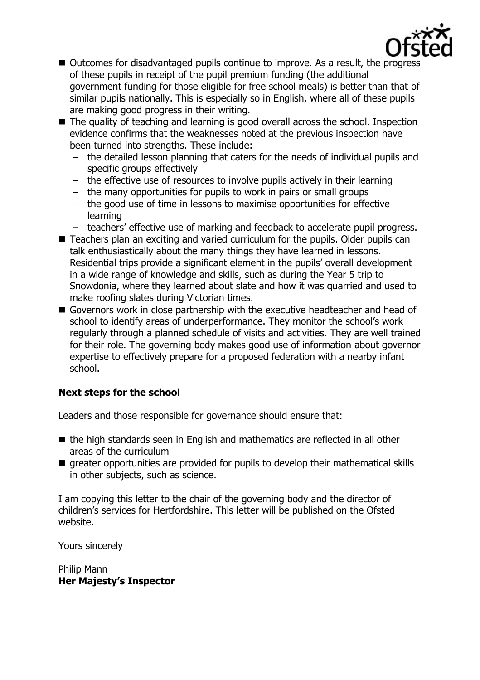

- Outcomes for disadvantaged pupils continue to improve. As a result, the progress of these pupils in receipt of the pupil premium funding (the additional government funding for those eligible for free school meals) is better than that of similar pupils nationally. This is especially so in English, where all of these pupils are making good progress in their writing.
- The quality of teaching and learning is good overall across the school. Inspection evidence confirms that the weaknesses noted at the previous inspection have been turned into strengths. These include:
	- the detailed lesson planning that caters for the needs of individual pupils and specific groups effectively
	- the effective use of resources to involve pupils actively in their learning
	- the many opportunities for pupils to work in pairs or small groups
	- the good use of time in lessons to maximise opportunities for effective learning
	- teachers' effective use of marking and feedback to accelerate pupil progress.
- Teachers plan an exciting and varied curriculum for the pupils. Older pupils can talk enthusiastically about the many things they have learned in lessons. Residential trips provide a significant element in the pupils' overall development in a wide range of knowledge and skills, such as during the Year 5 trip to Snowdonia, where they learned about slate and how it was quarried and used to make roofing slates during Victorian times.
- Governors work in close partnership with the executive headteacher and head of school to identify areas of underperformance. They monitor the school's work regularly through a planned schedule of visits and activities. They are well trained for their role. The governing body makes good use of information about governor expertise to effectively prepare for a proposed federation with a nearby infant school.

# **Next steps for the school**

Leaders and those responsible for governance should ensure that:

- $\blacksquare$  the high standards seen in English and mathematics are reflected in all other areas of the curriculum
- **E** greater opportunities are provided for pupils to develop their mathematical skills in other subjects, such as science.

I am copying this letter to the chair of the governing body and the director of children's services for Hertfordshire. This letter will be published on the Ofsted website.

Yours sincerely

Philip Mann **Her Majesty's Inspector**